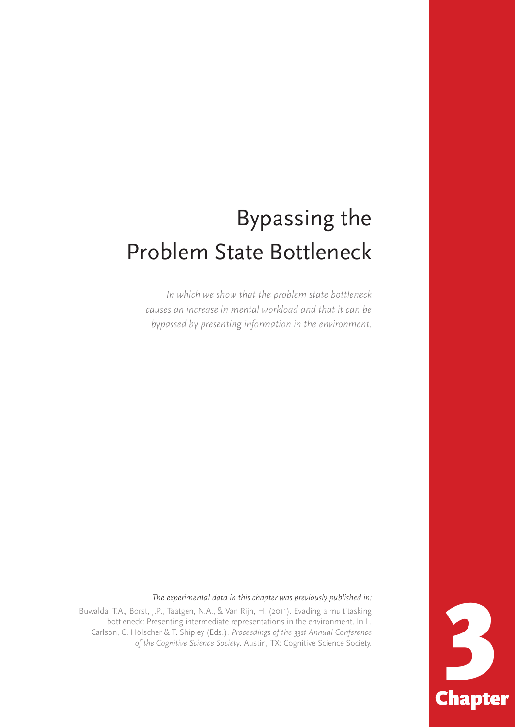# Bypassing the Problem State Bottleneck

*In which we show that the problem state bottleneck causes an increase in mental workload and that it can be bypassed by presenting information in the environment.* 

*The experimental data in this chapter was previously published in:*

Buwalda, T.A., Borst, J.P., Taatgen, N.A., & Van Rijn, H. (2011). Evading a multitasking bottleneck: Presenting intermediate representations in the environment. In L. Carlson, C. Hölscher & T. Shipley (Eds.), *Proceedings of the 33st Annual Conference of the Cognitive Science Society*. Austin, TX: Cognitive Science Society.

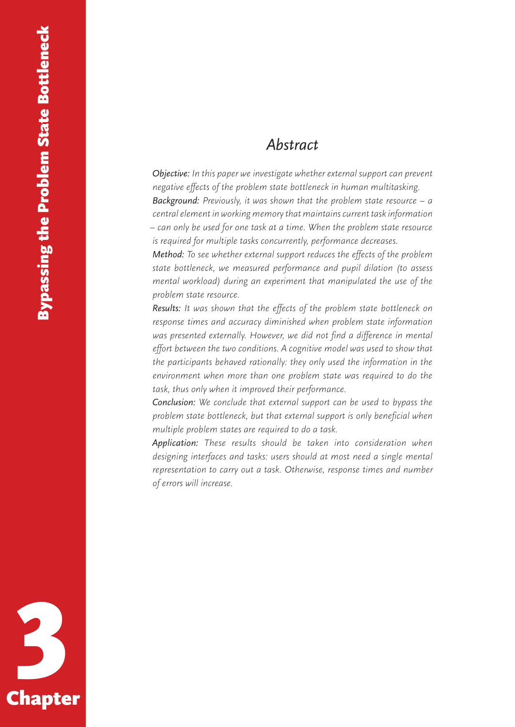# *Abstract*

*Objective: In this paper we investigate whether external support can prevent negative effects of the problem state bottleneck in human multitasking. Background: Previously, it was shown that the problem state resource – a central element in working memory that maintains current task information – can only be used for one task at a time. When the problem state resource is required for multiple tasks concurrently, performance decreases.*

*Method: To see whether external support reduces the effects of the problem state bottleneck, we measured performance and pupil dilation (to assess mental workload) during an experiment that manipulated the use of the problem state resource.*

*Results: It was shown that the effects of the problem state bottleneck on response times and accuracy diminished when problem state information was presented externally. However, we did not find a difference in mental effort between the two conditions. A cognitive model was used to show that the participants behaved rationally: they only used the information in the environment when more than one problem state was required to do the task, thus only when it improved their performance.*

*Conclusion: We conclude that external support can be used to bypass the problem state bottleneck, but that external support is only beneficial when multiple problem states are required to do a task.*

*Application: These results should be taken into consideration when designing interfaces and tasks: users should at most need a single mental representation to carry out a task. Otherwise, response times and number of errors will increase.*

**Chapter**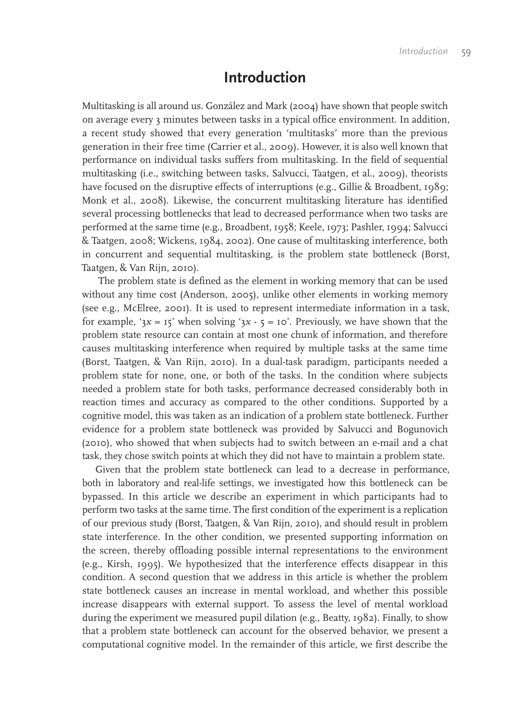## **Introduction**

Multitasking is all around us. González and Mark (2004) have shown that people switch on average every 3 minutes between tasks in a typical office environment. In addition, a recent study showed that every generation 'multitasks' more than the previous generation in their free time (Carrier et al., 2009). However, it is also well known that performance on individual tasks suffers from multitasking. In the field of sequential multitasking (i.e., switching between tasks, Salvucci, Taatgen, et al., 2009), theorists have focused on the disruptive effects of interruptions (e.g., Gillie & Broadbent, 1989; Monk et al., 2008). Likewise, the concurrent multitasking literature has identified several processing bottlenecks that lead to decreased performance when two tasks are performed at the same time (e.g., Broadbent, 1958; Keele, 1973; Pashler, 1994; Salvucci & Taatgen, 2008; Wickens, 1984, 2002). One cause of multitasking interference, both in concurrent and sequential multitasking, is the problem state bottleneck (Borst, Taatgen, & Van Rijn, 2010).

 The problem state is defined as the element in working memory that can be used without any time cost (Anderson, 2005), unlike other elements in working memory (see e.g., McElree, 2001). It is used to represent intermediate information in a task, for example, ' $3x = 15$ ' when solving ' $3x - 5 = 10$ '. Previously, we have shown that the problem state resource can contain at most one chunk of information, and therefore causes multitasking interference when required by multiple tasks at the same time (Borst, Taatgen, & Van Rijn, 2010). In a dual-task paradigm, participants needed a problem state for none, one, or both of the tasks. In the condition where subjects needed a problem state for both tasks, performance decreased considerably both in reaction times and accuracy as compared to the other conditions. Supported by a cognitive model, this was taken as an indication of a problem state bottleneck. Further evidence for a problem state bottleneck was provided by Salvucci and Bogunovich (2010), who showed that when subjects had to switch between an e-mail and a chat task, they chose switch points at which they did not have to maintain a problem state.

Given that the problem state bottleneck can lead to a decrease in performance, both in laboratory and real-life settings, we investigated how this bottleneck can be bypassed. In this article we describe an experiment in which participants had to perform two tasks at the same time. The first condition of the experiment is a replication of our previous study (Borst, Taatgen, & Van Rijn, 2010), and should result in problem state interference. In the other condition, we presented supporting information on the screen, thereby offloading possible internal representations to the environment (e.g., Kirsh, 1995). We hypothesized that the interference effects disappear in this condition. A second question that we address in this article is whether the problem state bottleneck causes an increase in mental workload, and whether this possible increase disappears with external support. To assess the level of mental workload during the experiment we measured pupil dilation (e.g., Beatty, 1982). Finally, to show that a problem state bottleneck can account for the observed behavior, we present a computational cognitive model. In the remainder of this article, we first describe the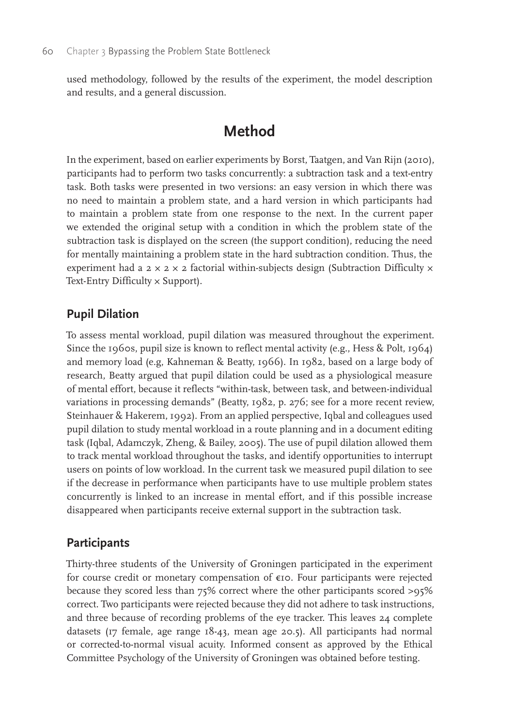used methodology, followed by the results of the experiment, the model description and results, and a general discussion.

# **Method**

In the experiment, based on earlier experiments by Borst, Taatgen, and Van Rijn (2010), participants had to perform two tasks concurrently: a subtraction task and a text-entry task. Both tasks were presented in two versions: an easy version in which there was no need to maintain a problem state, and a hard version in which participants had to maintain a problem state from one response to the next. In the current paper we extended the original setup with a condition in which the problem state of the subtraction task is displayed on the screen (the support condition), reducing the need for mentally maintaining a problem state in the hard subtraction condition. Thus, the experiment had a  $2 \times 2 \times 2$  factorial within-subjects design (Subtraction Difficulty  $\times$ Text-Entry Difficulty × Support).

## **Pupil Dilation**

To assess mental workload, pupil dilation was measured throughout the experiment. Since the 1960s, pupil size is known to reflect mental activity (e.g., Hess & Polt, 1964) and memory load (e.g, Kahneman & Beatty, 1966). In 1982, based on a large body of research, Beatty argued that pupil dilation could be used as a physiological measure of mental effort, because it reflects "within-task, between task, and between-individual variations in processing demands" (Beatty, 1982, p. 276; see for a more recent review, Steinhauer & Hakerem, 1992). From an applied perspective, Iqbal and colleagues used pupil dilation to study mental workload in a route planning and in a document editing task (Iqbal, Adamczyk, Zheng, & Bailey, 2005). The use of pupil dilation allowed them to track mental workload throughout the tasks, and identify opportunities to interrupt users on points of low workload. In the current task we measured pupil dilation to see if the decrease in performance when participants have to use multiple problem states concurrently is linked to an increase in mental effort, and if this possible increase disappeared when participants receive external support in the subtraction task.

## **Participants**

Thirty-three students of the University of Groningen participated in the experiment for course credit or monetary compensation of  $\epsilon$ 10. Four participants were rejected because they scored less than 75% correct where the other participants scored >95% correct. Two participants were rejected because they did not adhere to task instructions, and three because of recording problems of the eye tracker. This leaves 24 complete datasets (17 female, age range  $18-43$ , mean age 20.5). All participants had normal or corrected-to-normal visual acuity. Informed consent as approved by the Ethical Committee Psychology of the University of Groningen was obtained before testing.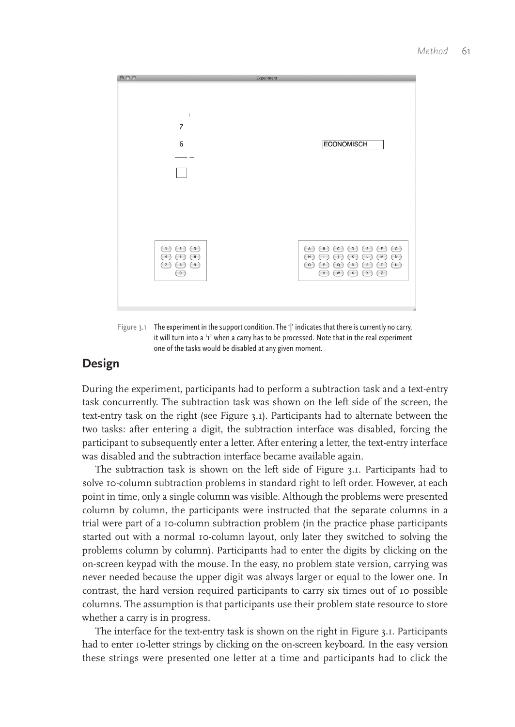

Figure 3.1 The experiment in the support condition. The '|' indicates that there is currently no carry, it will turn into a '1' when a carry has to be processed. Note that in the real experiment one of the tasks would be disabled at any given moment.

## **Design**

During the experiment, participants had to perform a subtraction task and a text-entry task concurrently. The subtraction task was shown on the left side of the screen, the text-entry task on the right (see Figure 3.1). Participants had to alternate between the two tasks: after entering a digit, the subtraction interface was disabled, forcing the participant to subsequently enter a letter. After entering a letter, the text-entry interface was disabled and the subtraction interface became available again.

The subtraction task is shown on the left side of Figure 3.1. Participants had to solve 10-column subtraction problems in standard right to left order. However, at each point in time, only a single column was visible. Although the problems were presented column by column, the participants were instructed that the separate columns in a trial were part of a 10-column subtraction problem (in the practice phase participants started out with a normal 10-column layout, only later they switched to solving the problems column by column). Participants had to enter the digits by clicking on the on-screen keypad with the mouse. In the easy, no problem state version, carrying was never needed because the upper digit was always larger or equal to the lower one. In contrast, the hard version required participants to carry six times out of 10 possible columns. The assumption is that participants use their problem state resource to store whether a carry is in progress.

The interface for the text-entry task is shown on the right in Figure 3.1. Participants had to enter 10-letter strings by clicking on the on-screen keyboard. In the easy version these strings were presented one letter at a time and participants had to click the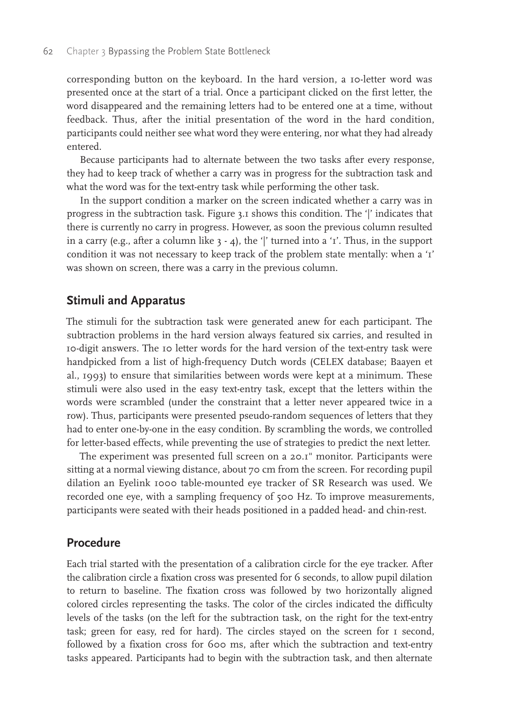corresponding button on the keyboard. In the hard version, a 10-letter word was presented once at the start of a trial. Once a participant clicked on the first letter, the word disappeared and the remaining letters had to be entered one at a time, without feedback. Thus, after the initial presentation of the word in the hard condition, participants could neither see what word they were entering, nor what they had already entered.

Because participants had to alternate between the two tasks after every response, they had to keep track of whether a carry was in progress for the subtraction task and what the word was for the text-entry task while performing the other task.

In the support condition a marker on the screen indicated whether a carry was in progress in the subtraction task. Figure 3.1 shows this condition. The '|' indicates that there is currently no carry in progress. However, as soon the previous column resulted in a carry (e.g., after a column like  $3 - 4$ ), the '|' turned into a '1'. Thus, in the support condition it was not necessary to keep track of the problem state mentally: when a '1' was shown on screen, there was a carry in the previous column.

#### **Stimuli and Apparatus**

The stimuli for the subtraction task were generated anew for each participant. The subtraction problems in the hard version always featured six carries, and resulted in 10-digit answers. The 10 letter words for the hard version of the text-entry task were handpicked from a list of high-frequency Dutch words (CELEX database; Baayen et al., 1993) to ensure that similarities between words were kept at a minimum. These stimuli were also used in the easy text-entry task, except that the letters within the words were scrambled (under the constraint that a letter never appeared twice in a row). Thus, participants were presented pseudo-random sequences of letters that they had to enter one-by-one in the easy condition. By scrambling the words, we controlled for letter-based effects, while preventing the use of strategies to predict the next letter.

The experiment was presented full screen on a 20.1" monitor. Participants were sitting at a normal viewing distance, about 70 cm from the screen. For recording pupil dilation an Eyelink 1000 table-mounted eye tracker of SR Research was used. We recorded one eye, with a sampling frequency of 500 Hz. To improve measurements, participants were seated with their heads positioned in a padded head- and chin-rest.

#### **Procedure**

Each trial started with the presentation of a calibration circle for the eye tracker. After the calibration circle a fixation cross was presented for 6 seconds, to allow pupil dilation to return to baseline. The fixation cross was followed by two horizontally aligned colored circles representing the tasks. The color of the circles indicated the difficulty levels of the tasks (on the left for the subtraction task, on the right for the text-entry task; green for easy, red for hard). The circles stayed on the screen for 1 second, followed by a fixation cross for 600 ms, after which the subtraction and text-entry tasks appeared. Participants had to begin with the subtraction task, and then alternate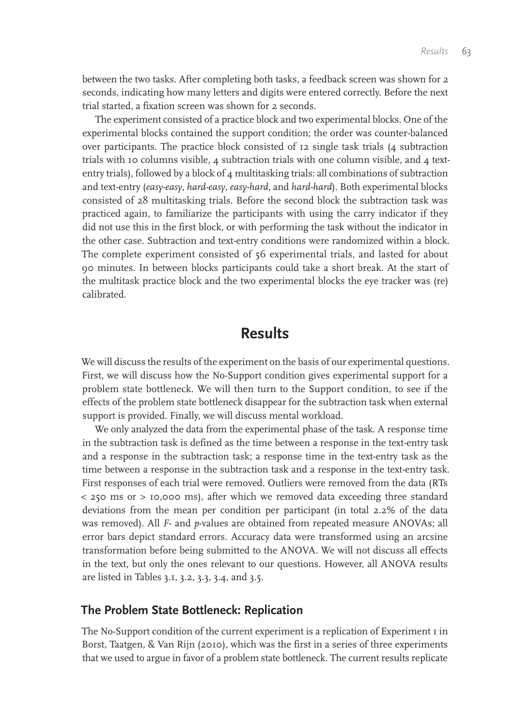between the two tasks. After completing both tasks, a feedback screen was shown for 2 seconds, indicating how many letters and digits were entered correctly. Before the next trial started, a fixation screen was shown for 2 seconds.

The experiment consisted of a practice block and two experimental blocks. One of the experimental blocks contained the support condition; the order was counter-balanced over participants. The practice block consisted of 12 single task trials (4 subtraction trials with 10 columns visible,  $\mu$  subtraction trials with one column visible, and  $\mu$  textentry trials), followed by a block of 4 multitasking trials: all combinations of subtraction and text-entry (*easy-easy*, *hard-easy*, *easy-hard*, and *hard-hard*). Both experimental blocks consisted of 28 multitasking trials. Before the second block the subtraction task was practiced again, to familiarize the participants with using the carry indicator if they did not use this in the first block, or with performing the task without the indicator in the other case. Subtraction and text-entry conditions were randomized within a block. The complete experiment consisted of 56 experimental trials, and lasted for about 90 minutes. In between blocks participants could take a short break. At the start of the multitask practice block and the two experimental blocks the eye tracker was (re) calibrated.

## **Results**

We will discuss the results of the experiment on the basis of our experimental questions. First, we will discuss how the No-Support condition gives experimental support for a problem state bottleneck. We will then turn to the Support condition, to see if the effects of the problem state bottleneck disappear for the subtraction task when external support is provided. Finally, we will discuss mental workload.

We only analyzed the data from the experimental phase of the task. A response time in the subtraction task is defined as the time between a response in the text-entry task and a response in the subtraction task; a response time in the text-entry task as the time between a response in the subtraction task and a response in the text-entry task. First responses of each trial were removed. Outliers were removed from the data (RTs < 250 ms or > 10,000 ms), after which we removed data exceeding three standard deviations from the mean per condition per participant (in total 2.2% of the data was removed). All *F*- and *p*-values are obtained from repeated measure ANOVAs; all error bars depict standard errors. Accuracy data were transformed using an arcsine transformation before being submitted to the ANOVA. We will not discuss all effects in the text, but only the ones relevant to our questions. However, all ANOVA results are listed in Tables 3.1, 3.2, 3.3, 3.4, and 3.5.

#### **The Problem State Bottleneck: Replication**

The No-Support condition of the current experiment is a replication of Experiment I in Borst, Taatgen, & Van Rijn (2010), which was the first in a series of three experiments that we used to argue in favor of a problem state bottleneck. The current results replicate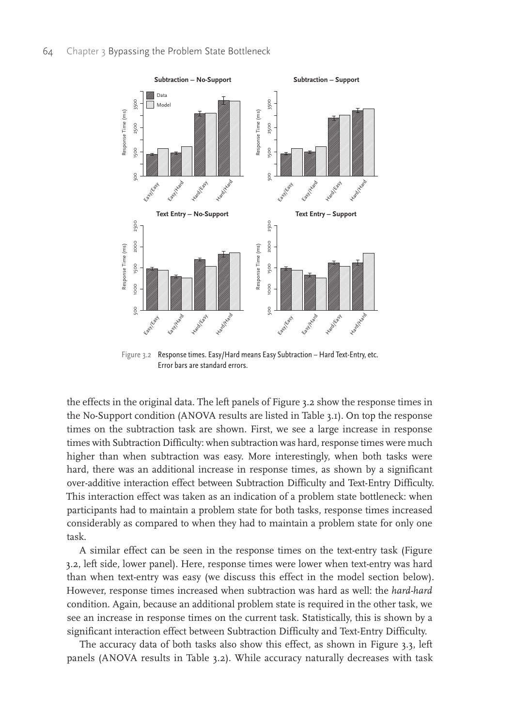

Figure 3.2 Response times. Easy/Hard means Easy Subtraction - Hard Text-Entry, etc. Error bars are standard errors.

the effects in the original data. The left panels of Figure 3.2 show the response times in the No-Support condition (ANOVA results are listed in Table 3.1). On top the response times on the subtraction task are shown. First, we see a large increase in response times with Subtraction Difficulty: when subtraction was hard, response times were much higher than when subtraction was easy. More interestingly, when both tasks were hard, there was an additional increase in response times, as shown by a significant over-additive interaction effect between Subtraction Difficulty and Text-Entry Difficulty. This interaction effect was taken as an indication of a problem state bottleneck: when participants had to maintain a problem state for both tasks, response times increased considerably as compared to when they had to maintain a problem state for only one task.

A similar effect can be seen in the response times on the text-entry task (Figure 3.2, left side, lower panel). Here, response times were lower when text-entry was hard than when text-entry was easy (we discuss this effect in the model section below). However, response times increased when subtraction was hard as well: the *hard-hard* condition. Again, because an additional problem state is required in the other task, we see an increase in response times on the current task. Statistically, this is shown by a significant interaction effect between Subtraction Difficulty and Text-Entry Difficulty.

The accuracy data of both tasks also show this effect, as shown in Figure 3.3, left panels (ANOVA results in Table 3.2). While accuracy naturally decreases with task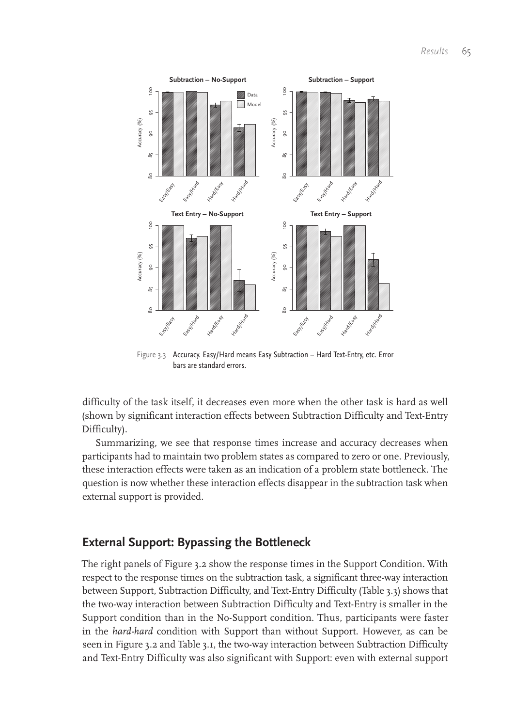

Figure 3.3 Accuracy. Easy/Hard means Easy Subtraction - Hard Text-Entry, etc. Error bars are standard errors.

difficulty of the task itself, it decreases even more when the other task is hard as well (shown by significant interaction effects between Subtraction Difficulty and Text-Entry Difficulty).

Summarizing, we see that response times increase and accuracy decreases when participants had to maintain two problem states as compared to zero or one. Previously, these interaction effects were taken as an indication of a problem state bottleneck. The question is now whether these interaction effects disappear in the subtraction task when external support is provided.

#### **External Support: Bypassing the Bottleneck**

The right panels of Figure 3.2 show the response times in the Support Condition. With respect to the response times on the subtraction task, a significant three-way interaction between Support, Subtraction Difficulty, and Text-Entry Difficulty (Table 3.3) shows that the two-way interaction between Subtraction Difficulty and Text-Entry is smaller in the Support condition than in the No-Support condition. Thus, participants were faster in the *hard-hard* condition with Support than without Support. However, as can be seen in Figure 3.2 and Table 3.1, the two-way interaction between Subtraction Difficulty and Text-Entry Difficulty was also significant with Support: even with external support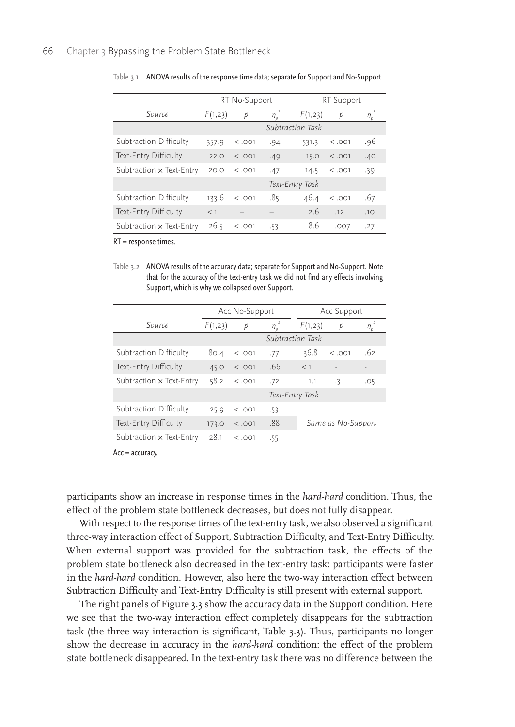|                          | RT No-Support    |             |            | RT Support |        |                                 |
|--------------------------|------------------|-------------|------------|------------|--------|---------------------------------|
| Source                   | F(1,23)          | p           | $\eta_{n}$ | F(1,23)    | p      | 2<br>$n_{\scriptscriptstyle n}$ |
|                          | Subtraction Task |             |            |            |        |                                 |
| Subtraction Difficulty   | 357.9            | 5.001       | .94        | 531.3      | 5.001  | .96                             |
| Text-Entry Difficulty    | 22.0             | 5.001       | .49        | 15.0       | 5.001  | .40                             |
| Subtraction x Text-Entry | 20.0             | $\leq$ .001 | .47        | 14.5       | 5.001  | .39                             |
|                          | Text-Entry Task  |             |            |            |        |                                 |
| Subtraction Difficulty   | 133.6            | 5.001       | .85        | 46.4       | < .001 | .67                             |
| Text-Entry Difficulty    | $<$ 1            |             |            | 2.6        | .12    | .10                             |
| Subtraction x Text-Entry | 26.5             | 5.001       | .53        | 8.6        | .007   | .27                             |

Table 3.1 ANOVA results of the response time data; separate for Support and No-Support.

RT = response times.

Table 3.2 ANOVA results of the accuracy data; separate for Support and No-Support. Note that for the accuracy of the text-entry task we did not find any effects involving Support, which is why we collapsed over Support.

|                                 | Acc No-Support   |                 |            | Acc Support |                    |                          |  |
|---------------------------------|------------------|-----------------|------------|-------------|--------------------|--------------------------|--|
| Source                          | F(1,23)          | р               | $\eta_{n}$ | F(1,23)     | р                  | $n_p$                    |  |
|                                 | Subtraction Task |                 |            |             |                    |                          |  |
| Subtraction Difficulty          | 80.4             | < .001          | .77        | 36.8        | < .001             | .62                      |  |
| Text-Entry Difficulty           | 45.0             | < .001          | .66        | $<$ 1       |                    | $\overline{\phantom{a}}$ |  |
| Subtraction x Text-Entry        | 58.2             | 5.001           | .72        | 1.1         | $\cdot$ 3          | .05                      |  |
|                                 |                  | Text-Entry Task |            |             |                    |                          |  |
| Subtraction Difficulty          | 25.9             | 500.5           | $-53$      |             |                    |                          |  |
| Text-Entry Difficulty           | 173.0            | < .001          | .88        |             | Same as No-Support |                          |  |
| Subtraction $\times$ Text-Entry | 28.1             | < .001          | .55        |             |                    |                          |  |

Acc = accuracy.

participants show an increase in response times in the *hard-hard* condition. Thus, the effect of the problem state bottleneck decreases, but does not fully disappear.

With respect to the response times of the text-entry task, we also observed a significant three-way interaction effect of Support, Subtraction Difficulty, and Text-Entry Difficulty. When external support was provided for the subtraction task, the effects of the problem state bottleneck also decreased in the text-entry task: participants were faster in the *hard-hard* condition. However, also here the two-way interaction effect between Subtraction Difficulty and Text-Entry Difficulty is still present with external support.

The right panels of Figure 3.3 show the accuracy data in the Support condition. Here we see that the two-way interaction effect completely disappears for the subtraction task (the three way interaction is significant, Table 3.3). Thus, participants no longer show the decrease in accuracy in the *hard-hard* condition: the effect of the problem state bottleneck disappeared. In the text-entry task there was no difference between the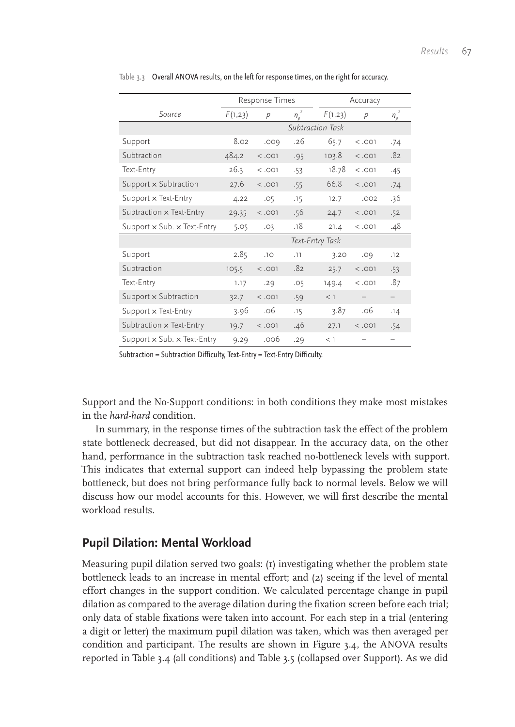|                                           | Response Times  |               | Accuracy                  |         |        |                                |
|-------------------------------------------|-----------------|---------------|---------------------------|---------|--------|--------------------------------|
| Source                                    | F(1,23)         | $\mathcal{D}$ | $\overline{z}$<br>$n_{n}$ | F(1,23) | p      | $\boldsymbol{2}$<br>$\eta_{p}$ |
|                                           |                 |               | Subtraction Task          |         |        |                                |
| Support                                   | 8.02            | .009          | .26                       | 65.7    | < .001 | .74                            |
| Subtraction                               | 484.2           | < .001        | .95                       | 103.8   | < .001 | .82                            |
| Text-Entry                                | 26.3            | < .001        | .53                       | 18.78   | 5.001  | .45                            |
| Support x Subtraction                     | 27.6            | < .001        | .55                       | 66.8    | < .001 | .74                            |
| Support x Text-Entry                      | 4.22            | .05           | .15                       | 12.7    | .002   | .36                            |
| Subtraction $\times$ Text-Entry           | 29.35           | < .001        | .56                       | 24.7    | < .001 | .52                            |
| Support $\times$ Sub. $\times$ Text-Entry | 5.05            | .03           | .18                       | 21.4    | < .001 | .48                            |
|                                           | Text-Entry Task |               |                           |         |        |                                |
| Support                                   | 2.85            | .10           | .11                       | 3.20    | .09    | .12                            |
| Subtraction                               | 105.5           | < .001        | .82                       | 25.7    | 5.001  | .53                            |
| Text-Entry                                | 1.17            | .29           | .05                       | 149.4   | 5.001  | .87                            |
| Support x Subtraction                     | 32.7            | < .001        | .59                       | $<$ 1   |        |                                |
| Support x Text-Entry                      | 3.96            | .06           | .15                       | 3.87    | .06    | .14                            |
| Subtraction $\times$ Text-Entry           | 19.7            | < .001        | .46                       | 27.1    | < .001 | .54                            |
| Support $\times$ Sub. $\times$ Text-Entry | 9.29            | .006          | .29                       | $<$ 1   |        |                                |

Table 3.3 Overall ANOVA results, on the left for response times, on the right for accuracy.

Subtraction = Subtraction Difficulty, Text-Entry = Text-Entry Difficulty.

Support and the No-Support conditions: in both conditions they make most mistakes in the *hard-hard* condition.

In summary, in the response times of the subtraction task the effect of the problem state bottleneck decreased, but did not disappear. In the accuracy data, on the other hand, performance in the subtraction task reached no-bottleneck levels with support. This indicates that external support can indeed help bypassing the problem state bottleneck, but does not bring performance fully back to normal levels. Below we will discuss how our model accounts for this. However, we will first describe the mental workload results.

#### **Pupil Dilation: Mental Workload**

Measuring pupil dilation served two goals: (1) investigating whether the problem state bottleneck leads to an increase in mental effort; and (2) seeing if the level of mental effort changes in the support condition. We calculated percentage change in pupil dilation as compared to the average dilation during the fixation screen before each trial; only data of stable fixations were taken into account. For each step in a trial (entering a digit or letter) the maximum pupil dilation was taken, which was then averaged per condition and participant. The results are shown in Figure 3.4, the ANOVA results reported in Table 3.4 (all conditions) and Table 3.5 (collapsed over Support). As we did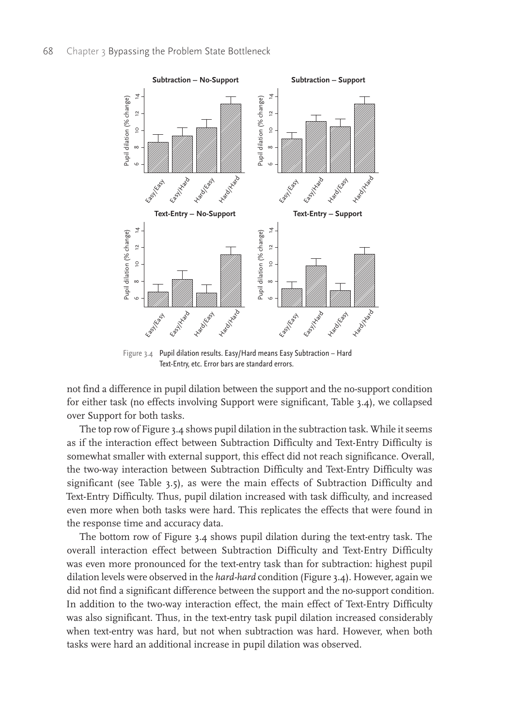

Pupil dilation results. Easy/Hard means Easy Subtraction - Hard Text-Entry, etc. Error bars are standard errors. Figure 3.4

not find a difference in pupil dilation between the support and the no-support condition for either task (no effects involving Support were significant, Table 3.4), we collapsed over Support for both tasks.

The top row of Figure 3.4 shows pupil dilation in the subtraction task. While it seems as if the interaction effect between Subtraction Difficulty and Text-Entry Difficulty is somewhat smaller with external support, this effect did not reach significance. Overall, the two-way interaction between Subtraction Difficulty and Text-Entry Difficulty was significant (see Table 3.5), as were the main effects of Subtraction Difficulty and Text-Entry Difficulty. Thus, pupil dilation increased with task difficulty, and increased even more when both tasks were hard. This replicates the effects that were found in the response time and accuracy data.

The bottom row of Figure 3.4 shows pupil dilation during the text-entry task. The overall interaction effect between Subtraction Difficulty and Text-Entry Difficulty was even more pronounced for the text-entry task than for subtraction: highest pupil dilation levels were observed in the *hard-hard* condition (Figure 3.4). However, again we did not find a significant difference between the support and the no-support condition. In addition to the two-way interaction effect, the main effect of Text-Entry Difficulty was also significant. Thus, in the text-entry task pupil dilation increased considerably when text-entry was hard, but not when subtraction was hard. However, when both tasks were hard an additional increase in pupil dilation was observed.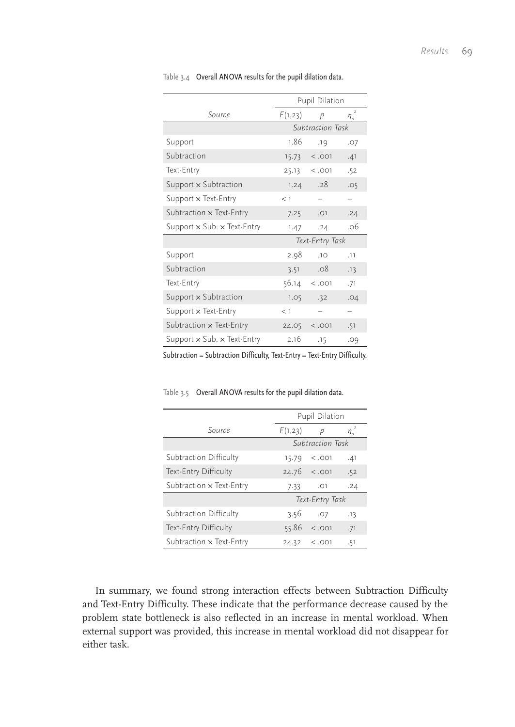|                                           | Pupil Dilation   |          |         |  |
|-------------------------------------------|------------------|----------|---------|--|
| Source                                    | F(1,23)          | p        | $n_{p}$ |  |
|                                           | Subtraction Task |          |         |  |
| Support                                   | 1.86             | .19      | .07     |  |
| Subtraction                               | 15.73            | 500.5    | .41     |  |
| Text-Entry                                | 25.13            | < .001   | .52     |  |
| Support x Subtraction                     | 1.24             | .28      | .05     |  |
| Support x Text-Entry                      | < 1              |          |         |  |
| Subtraction $\times$ Text-Entry           | 7.25             | .01      | .24     |  |
| Support $\times$ Sub. $\times$ Text-Entry | 1.47             | .24      | .06     |  |
|                                           | Text-Entry Task  |          |         |  |
| Support                                   | 2.98             | .10      | .11     |  |
| Subtraction                               | 3.51             | .08      | .13     |  |
| Text-Entry                                | 56.14            | $<$ .001 | .71     |  |
| Support x Subtraction                     | 1.05             | .32      | .04     |  |
| Support x Text-Entry                      | < 1              |          |         |  |
| Subtraction $\times$ Text-Entry           | 24.05            | < .001   | .51     |  |
| Support x Sub. x Text-Entry               | 2.16             | .15      | .09     |  |

Table 3.4 Overall ANOVA results for the pupil dilation data.

Subtraction = Subtraction Difficulty, Text-Entry = Text-Entry Difficulty.

Table 3.5 Overall ANOVA results for the pupil dilation data.

|                          | Pupil Dilation   |        |         |  |
|--------------------------|------------------|--------|---------|--|
| Source                   | F(1,23)          | р      | $n_{n}$ |  |
|                          | Subtraction Task |        |         |  |
| Subtraction Difficulty   | 15.79            | < .001 | .41     |  |
| Text-Entry Difficulty    | 24.76            | < .001 | .52     |  |
| Subtraction x Text-Entry | 7.33             | .01    | .24     |  |
|                          | Text-Entry Task  |        |         |  |
| Subtraction Difficulty   | 3.56             | .07    | .13     |  |
| Text-Entry Difficulty    | 55.86            | < .001 | .71     |  |
| Subtraction x Text-Entry | 24.32            | < .001 | .51     |  |

In summary, we found strong interaction effects between Subtraction Difficulty and Text-Entry Difficulty. These indicate that the performance decrease caused by the problem state bottleneck is also reflected in an increase in mental workload. When external support was provided, this increase in mental workload did not disappear for either task.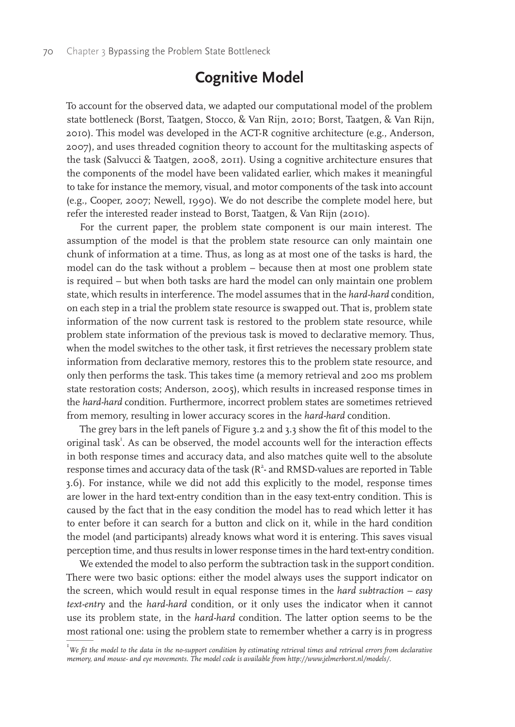# **Cognitive Model**

To account for the observed data, we adapted our computational model of the problem state bottleneck (Borst, Taatgen, Stocco, & Van Rijn, 2010; Borst, Taatgen, & Van Rijn, 2010). This model was developed in the ACT-R cognitive architecture (e.g., Anderson, 2007), and uses threaded cognition theory to account for the multitasking aspects of the task (Salvucci & Taatgen, 2008, 2011). Using a cognitive architecture ensures that the components of the model have been validated earlier, which makes it meaningful to take for instance the memory, visual, and motor components of the task into account (e.g., Cooper, 2007; Newell, 1990). We do not describe the complete model here, but refer the interested reader instead to Borst, Taatgen, & Van Rijn (2010).

For the current paper, the problem state component is our main interest. The assumption of the model is that the problem state resource can only maintain one chunk of information at a time. Thus, as long as at most one of the tasks is hard, the model can do the task without a problem – because then at most one problem state is required – but when both tasks are hard the model can only maintain one problem state, which results in interference. The model assumes that in the *hard-hard* condition, on each step in a trial the problem state resource is swapped out. That is, problem state information of the now current task is restored to the problem state resource, while problem state information of the previous task is moved to declarative memory. Thus, when the model switches to the other task, it first retrieves the necessary problem state information from declarative memory, restores this to the problem state resource, and only then performs the task. This takes time (a memory retrieval and 200 ms problem state restoration costs; Anderson, 2005), which results in increased response times in the *hard-hard* condition. Furthermore, incorrect problem states are sometimes retrieved from memory, resulting in lower accuracy scores in the *hard-hard* condition.

The grey bars in the left panels of Figure 3.2 and 3.3 show the fit of this model to the original task<sup>1</sup>. As can be observed, the model accounts well for the interaction effects in both response times and accuracy data, and also matches quite well to the absolute response times and accuracy data of the task ( $R^2$ - and RMSD-values are reported in Table 3.6). For instance, while we did not add this explicitly to the model, response times are lower in the hard text-entry condition than in the easy text-entry condition. This is caused by the fact that in the easy condition the model has to read which letter it has to enter before it can search for a button and click on it, while in the hard condition the model (and participants) already knows what word it is entering. This saves visual perception time, and thus results in lower response times in the hard text-entry condition.

We extended the model to also perform the subtraction task in the support condition. There were two basic options: either the model always uses the support indicator on the screen, which would result in equal response times in the *hard subtraction – easy text-entry* and the *hard-hard* condition, or it only uses the indicator when it cannot use its problem state, in the *hard-hard* condition. The latter option seems to be the most rational one: using the problem state to remember whether a carry is in progress

<sup>&</sup>lt;sup>1</sup> We fit the model to the data in the no-support condition by estimating retrieval times and retrieval errors from declarative *memory, and mouse- and eye movements. The model code is available from http://www.jelmerborst.nl/models/.*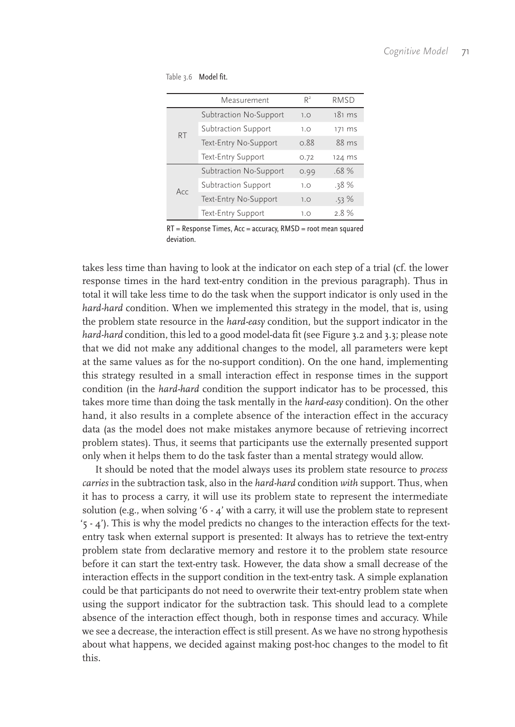Table 3.6 Model fit.

|           | Measurement               | $R^2$ | RMSD             |
|-----------|---------------------------|-------|------------------|
|           | Subtraction No-Support    | 1.0   | $181 \text{ ms}$ |
| <b>RT</b> | Subtraction Support       | 1.0   | 171 ms           |
|           | Text-Entry No-Support     | 0.88  | 88 ms            |
|           | <b>Text-Entry Support</b> | 0.72  | 124 ms           |
|           | Subtraction No-Support    | 0.99  | .68 %            |
| Acc       | Subtraction Support       | 1.0   | .38%             |
|           | Text-Entry No-Support     | 1.0   | $.53\%$          |
|           | <b>Text-Entry Support</b> | 1.0   | 2.8%             |

 $RT =$  Response Times,  $Acc =$  accuracy,  $RMSD =$  root mean squared deviation.

takes less time than having to look at the indicator on each step of a trial (cf. the lower response times in the hard text-entry condition in the previous paragraph). Thus in total it will take less time to do the task when the support indicator is only used in the *hard-hard* condition. When we implemented this strategy in the model, that is, using the problem state resource in the *hard-easy* condition, but the support indicator in the hard-hard condition, this led to a good model-data fit (see Figure 3.2 and 3.3; please note that we did not make any additional changes to the model, all parameters were kept at the same values as for the no-support condition). On the one hand, implementing this strategy resulted in a small interaction effect in response times in the support condition (in the *hard-hard* condition the support indicator has to be processed, this takes more time than doing the task mentally in the *hard-easy* condition). On the other hand, it also results in a complete absence of the interaction effect in the accuracy data (as the model does not make mistakes anymore because of retrieving incorrect problem states). Thus, it seems that participants use the externally presented support only when it helps them to do the task faster than a mental strategy would allow.

It should be noted that the model always uses its problem state resource to *process carries* in the subtraction task, also in the *hard-hard* condition *with* support. Thus, when it has to process a carry, it will use its problem state to represent the intermediate solution (e.g., when solving '6 - 4' with a carry, it will use the problem state to represent '5 - 4'). This is why the model predicts no changes to the interaction effects for the textentry task when external support is presented: It always has to retrieve the text-entry problem state from declarative memory and restore it to the problem state resource before it can start the text-entry task. However, the data show a small decrease of the interaction effects in the support condition in the text-entry task. A simple explanation could be that participants do not need to overwrite their text-entry problem state when using the support indicator for the subtraction task. This should lead to a complete absence of the interaction effect though, both in response times and accuracy. While we see a decrease, the interaction effect is still present. As we have no strong hypothesis about what happens, we decided against making post-hoc changes to the model to fit this.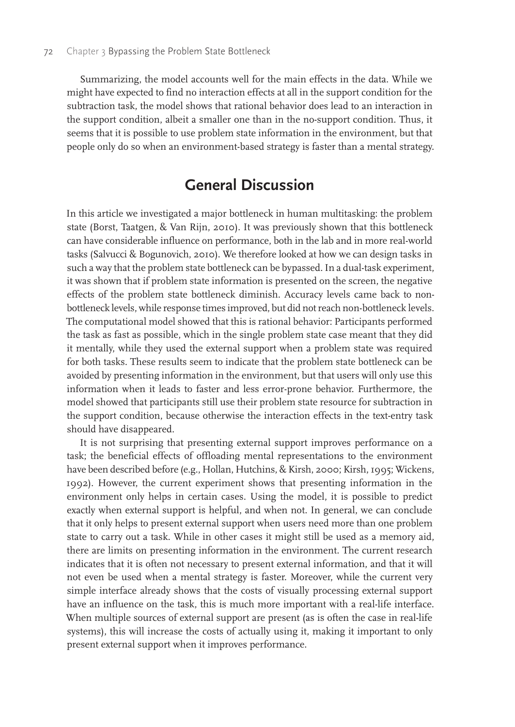Summarizing, the model accounts well for the main effects in the data. While we might have expected to find no interaction effects at all in the support condition for the subtraction task, the model shows that rational behavior does lead to an interaction in the support condition, albeit a smaller one than in the no-support condition. Thus, it seems that it is possible to use problem state information in the environment, but that people only do so when an environment-based strategy is faster than a mental strategy.

# **General Discussion**

In this article we investigated a major bottleneck in human multitasking: the problem state (Borst, Taatgen, & Van Rijn, 2010). It was previously shown that this bottleneck can have considerable influence on performance, both in the lab and in more real-world tasks (Salvucci & Bogunovich, 2010). We therefore looked at how we can design tasks in such a way that the problem state bottleneck can be bypassed. In a dual-task experiment, it was shown that if problem state information is presented on the screen, the negative effects of the problem state bottleneck diminish. Accuracy levels came back to nonbottleneck levels, while response times improved, but did not reach non-bottleneck levels. The computational model showed that this is rational behavior: Participants performed the task as fast as possible, which in the single problem state case meant that they did it mentally, while they used the external support when a problem state was required for both tasks. These results seem to indicate that the problem state bottleneck can be avoided by presenting information in the environment, but that users will only use this information when it leads to faster and less error-prone behavior. Furthermore, the model showed that participants still use their problem state resource for subtraction in the support condition, because otherwise the interaction effects in the text-entry task should have disappeared.

It is not surprising that presenting external support improves performance on a task; the beneficial effects of offloading mental representations to the environment have been described before (e.g., Hollan, Hutchins, & Kirsh, 2000; Kirsh, 1995; Wickens, 1992). However, the current experiment shows that presenting information in the environment only helps in certain cases. Using the model, it is possible to predict exactly when external support is helpful, and when not. In general, we can conclude that it only helps to present external support when users need more than one problem state to carry out a task. While in other cases it might still be used as a memory aid, there are limits on presenting information in the environment. The current research indicates that it is often not necessary to present external information, and that it will not even be used when a mental strategy is faster. Moreover, while the current very simple interface already shows that the costs of visually processing external support have an influence on the task, this is much more important with a real-life interface. When multiple sources of external support are present (as is often the case in real-life systems), this will increase the costs of actually using it, making it important to only present external support when it improves performance.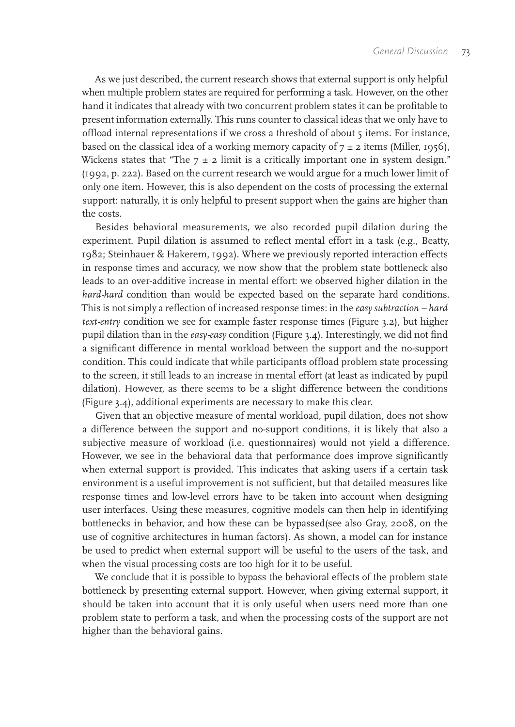As we just described, the current research shows that external support is only helpful when multiple problem states are required for performing a task. However, on the other hand it indicates that already with two concurrent problem states it can be profitable to present information externally. This runs counter to classical ideas that we only have to offload internal representations if we cross a threshold of about 5 items. For instance, based on the classical idea of a working memory capacity of  $7 \pm 2$  items (Miller, 1956), Wickens states that "The  $7 \pm 2$  limit is a critically important one in system design." (1992, p. 222). Based on the current research we would argue for a much lower limit of only one item. However, this is also dependent on the costs of processing the external support: naturally, it is only helpful to present support when the gains are higher than the costs.

Besides behavioral measurements, we also recorded pupil dilation during the experiment. Pupil dilation is assumed to reflect mental effort in a task (e.g., Beatty, 1982; Steinhauer & Hakerem, 1992). Where we previously reported interaction effects in response times and accuracy, we now show that the problem state bottleneck also leads to an over-additive increase in mental effort: we observed higher dilation in the *hard-hard* condition than would be expected based on the separate hard conditions. This is not simply a reflection of increased response times: in the *easy subtraction – hard text-entry* condition we see for example faster response times (Figure 3.2), but higher pupil dilation than in the *easy-easy* condition (Figure 3.4). Interestingly, we did not find a significant difference in mental workload between the support and the no-support condition. This could indicate that while participants offload problem state processing to the screen, it still leads to an increase in mental effort (at least as indicated by pupil dilation). However, as there seems to be a slight difference between the conditions (Figure 3.4), additional experiments are necessary to make this clear.

Given that an objective measure of mental workload, pupil dilation, does not show a difference between the support and no-support conditions, it is likely that also a subjective measure of workload (i.e. questionnaires) would not yield a difference. However, we see in the behavioral data that performance does improve significantly when external support is provided. This indicates that asking users if a certain task environment is a useful improvement is not sufficient, but that detailed measures like response times and low-level errors have to be taken into account when designing user interfaces. Using these measures, cognitive models can then help in identifying bottlenecks in behavior, and how these can be bypassed(see also Gray, 2008, on the use of cognitive architectures in human factors). As shown, a model can for instance be used to predict when external support will be useful to the users of the task, and when the visual processing costs are too high for it to be useful.

We conclude that it is possible to bypass the behavioral effects of the problem state bottleneck by presenting external support. However, when giving external support, it should be taken into account that it is only useful when users need more than one problem state to perform a task, and when the processing costs of the support are not higher than the behavioral gains.